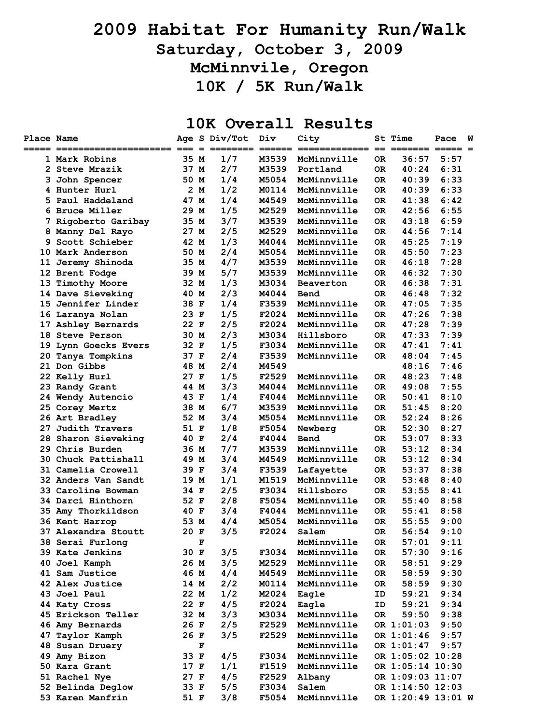# **2009 Habitat For Humanity Run/Walk Saturday, October 3, 2009 McMinnvile, Oregon 10K / 5K Run/Walk**

## **10K Overall Results**

| Place Name |                      | $==$ | $=$ | Age S Div/Tot | Div<br>City<br>========= |             | $==$      | <b>St Time</b><br>$=$ $=$ $=$ $=$ $=$ $=$ | Pace<br>$=$ $=$ $=$ $=$ | W |
|------------|----------------------|------|-----|---------------|--------------------------|-------------|-----------|-------------------------------------------|-------------------------|---|
|            | 1 Mark Robins        | 35 M |     | 1/7           | M3539                    | McMinnville | OR.       | 36:57                                     | 5:57                    |   |
|            | 2 Steve Mrazik       | 37 M |     | 2/7           | M3539                    | Portland    | 0R        | 40:24                                     | 6:31                    |   |
|            | 3 John Spencer       | 50 M |     | 1/4           | M5054                    | McMinnville | OR.       | 40:39                                     | 6:33                    |   |
|            | 4 Hunter Hurl        |      | 2 M | 1/2           | M0114                    | McMinnville | OR.       | 40:39                                     | 6:33                    |   |
|            | 5 Paul Haddeland     | 47 M |     | 1/4           | M4549                    | McMinnville | OR.       | 41:38                                     | 6:42                    |   |
|            | 6 Bruce Miller       | 29 M |     | 1/5           | M2529                    | McMinnville | 0R        | 42:56                                     | 6:55                    |   |
|            | 7 Rigoberto Garibay  | 35 M |     | 3/7           | M3539                    | McMinnville | 0R        | 43:18                                     | 6:59                    |   |
|            | 8 Manny Del Rayo     | 27 M |     | 2/5           | M2529                    | McMinnville | 0R        | 44:56                                     | 7:14                    |   |
| 9          | Scott Schieber       | 42 M |     | 1/3           | M4044                    | McMinnville | 0R        | 45:25                                     | 7:19                    |   |
|            | 10 Mark Anderson     | 50 M |     | 2/4           | M5054                    | McMinnville | 0R        | 45:50                                     | 7:23                    |   |
|            | 11 Jeremy Shinoda    | 35 M |     | 4/7           | M3539                    | McMinnville | OR.       | 46:18                                     | 7:28                    |   |
|            | 12 Brent Fodge       | 39 M |     | 5/7           | M3539                    | McMinnville | OR.       | 46:32                                     | 7:30                    |   |
|            | 13 Timothy Moore     | 32 M |     | 1/3           | M3034                    | Beaverton   | OR.       | 46:38                                     | 7:31                    |   |
|            | 14 Dave Sieveking    | 40 M |     | 2/3           | M4044                    | <b>Bend</b> | OR.       | 46:48                                     | 7:32                    |   |
|            | 15 Jennifer Linder   | 38 F |     | 1/4           | F3539                    | McMinnville | OR.       | 47:05                                     | 7:35                    |   |
|            | 16 Laranya Nolan     | 23 F |     | 1/5           | F2024                    | McMinnville | OR.       | 47:26                                     | 7:38                    |   |
|            | 17 Ashley Bernards   | 22 F |     | 2/5           | F2024                    | McMinnville | OR.       | 47:28                                     | 7:39                    |   |
|            | 18 Steve Person      | 30 M |     | 2/3           | M3034                    | Hillsboro   | 0R        | 47:33                                     | 7:39                    |   |
|            | 19 Lynn Goecks Evers | 32 F |     | 1/5           | F3034                    | McMinnville | OR.       | 47:41                                     | 7:41                    |   |
|            | 20 Tanya Tompkins    | 37 F |     | 2/4           | F3539                    | McMinnville | OR.       | 48:04                                     | 7:45                    |   |
|            | 21 Don Gibbs         | 48 M |     | 2/4           | M4549                    |             |           | 48:16                                     | 7:46                    |   |
|            | 22 Kelly Hurl        | 27 F |     | 1/5           | F2529                    | McMinnville | 0R        | 48:23                                     | 7:48                    |   |
|            | 23 Randy Grant       | 44 M |     | 3/3           | M4044                    | McMinnville | OR.       | 49:08                                     | 7:55                    |   |
|            | 24 Wendy Autencio    | 43 F |     | 1/4           | F4044                    | McMinnville | OR.       | 50:41                                     | 8:10                    |   |
|            | 25 Corey Mertz       | 38 M |     | 6/7           | M3539                    | McMinnville | 0R        | 51:45                                     | 8:20                    |   |
|            | 26 Art Bradley       | 52 M |     | 3/4           | M5054                    | McMinnville | 0R        | 52:24                                     | 8:26                    |   |
|            | 27 Judith Travers    | 51 F |     | 1/8           | F5054                    | Newberg     | 0R        | 52:30                                     | 8:27                    |   |
|            | 28 Sharon Sieveking  | 40 F |     | 2/4           | F4044                    | Bend        | 0R        | 53:07                                     | 8:33                    |   |
|            | 29 Chris Burden      | 36 M |     | 7/7           | M3539                    | McMinnville | 0R        | 53:12                                     | 8:34                    |   |
| 30         | Chuck Pattishall     | 49 M |     | 3/4           | M4549                    | McMinnville | OR.       | 53:12                                     | 8:34                    |   |
|            | 31 Camelia Crowell   | 39 F |     | 3/4           | F3539                    | Lafayette   | 0R        | 53:37                                     | 8:38                    |   |
|            | 32 Anders Van Sandt  | 19 M |     | 1/1           | M1519                    | McMinnville | OR.       | 53:48                                     | 8:40                    |   |
|            | 33 Caroline Bowman   | 34 F |     | 2/5           | F3034                    | Hillsboro   | OR.       | 53:55                                     | 8:41                    |   |
|            | 34 Darci Hinthorn    | 52 F |     | 2/8           | F5054                    | McMinnville | OR.       | 55:40                                     | 8:58                    |   |
|            | 35 Amy Thorkildson   | 40 F |     | 3/4           | F4044                    | McMinnville | OR.       | 55:41                                     | 8:58                    |   |
|            | 36 Kent Harrop       | 53 M |     | 4/4           | M5054                    | McMinnville | OR.       | 55:55                                     | 9:00                    |   |
|            | 37 Alexandra Stoutt  | 20 F |     | 3/5           | F2024                    | Salem       | <b>OR</b> | 56:54                                     | 9:10                    |   |
|            | 38 Serai Furlong     |      | F   |               |                          | McMinnville | OR        | 57:01                                     | 9:11                    |   |
|            | 39 Kate Jenkins      | 30 F |     | 3/5           | F3034                    | McMinnville | OR.       | 57:30                                     | 9:16                    |   |
|            | 40 Joel Kamph        | 26 M |     | 3/5           | M2529                    | McMinnville | OR        | 58:51                                     | 9:29                    |   |
|            | 41 Sam Justice       | 46 M |     | 4/4           | M4549                    | McMinnville | OR.       | 58:59                                     | 9:30                    |   |
|            | 42 Alex Justice      | 14 M |     | 2/2           | M0114                    | McMinnville | OR        | 58:59                                     | 9:30                    |   |
|            | 43 Joel Paul         | 22 M |     | 1/2           | M2024                    | Eagle       | ID        | 59:21                                     | 9:34                    |   |
|            | 44 Katy Cross        | 22 F |     | 4/5           | F2024                    | Eagle       | ID        | 59:21                                     | 9:34                    |   |
|            | 45 Erickson Teller   | 32 M |     | 3/3           | M3034                    | McMinnville | <b>OR</b> | 59:50                                     | 9:38                    |   |
|            | 46 Amy Bernards      | 26 F |     | 2/5           | F2529                    | McMinnville |           | OR 1:01:03                                | 9:50                    |   |
|            | 47 Taylor Kamph      | 26 F |     | 3/5           | F2529                    | McMinnville |           | OR 1:01:46                                | 9:57                    |   |
|            | 48 Susan Druery      |      | F   |               |                          | McMinnville |           | OR 1:01:47                                | 9:57                    |   |
|            | 49 Amy Bizon         | 33 F |     | 4/5           | F3034                    | McMinnville |           | OR 1:05:02 10:28                          |                         |   |
|            | 50 Kara Grant        | 17 F |     | 1/1           | <b>F1519</b>             | McMinnville |           | OR 1:05:14 10:30                          |                         |   |
|            | 51 Rachel Nye        | 27 F |     | 4/5           | F2529                    | Albany      |           | OR 1:09:03 11:07                          |                         |   |
|            | 52 Belinda Deglow    | 33 F |     | 5/5           | F3034                    | Salem       |           | OR 1:14:50 12:03                          |                         |   |
|            | 53 Karen Manfrin     | 51 F |     | 3/8           | F5054                    | McMinnville |           | OR 1:20:49 13:01 W                        |                         |   |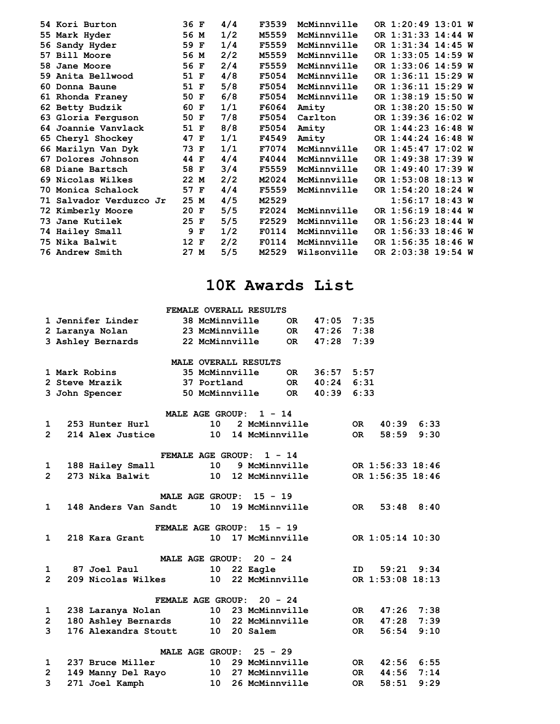| 54 Kori Burton             | 36 F | 4/4 | F3539 | McMinnville | OR 1:20:49 13:01 W |
|----------------------------|------|-----|-------|-------------|--------------------|
| 55 Mark Hyder              | 56 M | 1/2 | M5559 | McMinnville | OR 1:31:33 14:44 W |
| 56 Sandy Hyder             | 59 F | 1/4 | F5559 | McMinnville | OR 1:31:34 14:45 W |
| 57 Bill Moore              | 56 M | 2/2 | M5559 | McMinnville | OR 1:33:05 14:59 W |
| 58 Jane Moore              | 56 F | 2/4 | F5559 | McMinnville | OR 1:33:06 14:59 W |
| 59 Anita Bellwood          | 51 F | 4/8 | F5054 | McMinnville | OR 1:36:11 15:29 W |
| 60 Donna Baune             | 51 F | 5/8 | F5054 | McMinnville | OR 1:36:11 15:29 W |
| 61 Rhonda Franey           | 50 F | 6/8 | F5054 | McMinnville | OR 1:38:19 15:50 W |
| 62 Betty Budzik            | 60 F | 1/1 | F6064 | Amity       | OR 1:38:20 15:50 W |
| 63 Gloria Ferguson         | 50 F | 7/8 | F5054 | Carlton     | OR 1:39:36 16:02 W |
| 64 Joannie Vanvlack        | 51 F | 8/8 | F5054 | Amity       | OR 1:44:23 16:48 W |
| 65 Cheryl Shockey          | 47 F | 1/1 | F4549 | Amity       | OR 1:44:24 16:48 W |
| 66 Marilyn Van Dyk         | 73 F | 1/1 | F7074 | McMinnville | OR 1:45:47 17:02 W |
| Dolores Johnson<br>67      | 44 F | 4/4 | F4044 | McMinnville | OR 1:49:38 17:39 W |
| 68 Diane Bartsch           | 58 F | 3/4 | F5559 | McMinnville | OR 1:49:40 17:39 W |
| 69 Nicolas Wilkes          | 22 M | 2/2 | M2024 | McMinnville | OR 1:53:08 18:13 W |
| 70 Monica Schalock         | 57 F | 4/4 | F5559 | McMinnville | OR 1:54:20 18:24 W |
| Salvador Verduzco Jr<br>71 | 25 M | 4/5 | M2529 |             | $1:56:17$ 18:43 W  |
| 72 Kimberly Moore          | 20 F | 5/5 | F2024 | McMinnville | OR 1:56:19 18:44 W |
| <b>Jane Kutilek</b><br>73. | 25 F | 5/5 | F2529 | McMinnville | OR 1:56:23 18:44 W |
| 74 Hailey Small            | 9 F  | 1/2 | F0114 | McMinnville | OR 1:56:33 18:46 W |
| 75 Nika Balwit             | 12 F | 2/2 | F0114 | McMinnville | OR 1:56:35 18:46 W |
| <b>76 Andrew Smith</b>     | 27 M | 5/5 | M2529 | Wilsonville | OR 2:03:38 19:54 W |

## **10K Awards List**

|                                       | FEMALE OVERALL RESULTS   |                 |                       |                   |                |           |                  |            |
|---------------------------------------|--------------------------|-----------------|-----------------------|-------------------|----------------|-----------|------------------|------------|
| 1 Jennifer Linder                     |                          |                 | <b>38 McMinnville</b> | OR DR             | $47:05$ 7:35   |           |                  |            |
| 2 Laranya Nolan                       |                          |                 | 23 McMinnville        | OR.               | $47:26$ $7:38$ |           |                  |            |
| 3 Ashley Bernards                     |                          |                 | 22 McMinnville        | OR.               | $47:28$ 7:39   |           |                  |            |
|                                       |                          |                 | MALE OVERALL RESULTS  |                   |                |           |                  |            |
| 1 Mark Robins                         |                          |                 | 35 McMinnville        | 0R.               | $36:57$ $5:57$ |           |                  |            |
| 2 Steve Mrazik                        |                          | 37 Portland     |                       | <b>OR</b>         | $40:24$ $6:31$ |           |                  |            |
| 3 John Spencer                        |                          |                 | 50 McMinnville OR     |                   | 40:39          | 6:33      |                  |            |
|                                       | <b>MALE AGE GROUP:</b>   |                 |                       | $1 - 14$          |                |           |                  |            |
| 253 Hunter Hurl<br>1                  |                          | 10              |                       | 2 McMinnville     |                | OR DO     | $40:39$ $6:33$   |            |
| $\mathcal{P}$<br>214 Alex Justice     |                          | 10              |                       | 14 McMinnville    |                | <b>OR</b> | 58:59            | 9:30       |
|                                       | FEMALE AGE GROUP:        |                 |                       | $1 - 14$          |                |           |                  |            |
| 188 Hailey Small<br>1                 |                          | 10 <sup>°</sup> |                       | 9 McMinnville     |                |           | OR 1:56:33 18:46 |            |
| $\overline{2}$<br>273 Nika Balwit     |                          | 10              |                       | 12 McMinnville    |                |           | OR 1:56:35 18:46 |            |
|                                       | MALE AGE GROUP:          |                 |                       | $15 - 19$         |                |           |                  |            |
| 148 Anders Van Sandt<br>1             |                          | 10              |                       | 19 McMinnville    |                | <b>OR</b> | 53:48            | 8:40       |
|                                       | <b>FEMALE AGE GROUP:</b> |                 |                       | $15 - 19$         |                |           |                  |            |
| 1<br>218 Kara Grant                   |                          | 10              |                       | 17 McMinnville    |                |           | OR 1:05:14 10:30 |            |
|                                       | MALE AGE GROUP:          |                 |                       | $20 - 24$         |                |           |                  |            |
| 87 Joel Paul<br>1                     |                          | 10              | 22 Eagle              |                   |                | ID D      | 59:21            | 9:34       |
| $\overline{2}$<br>209 Nicolas Wilkes  |                          | 10              |                       | 22 McMinnville    |                |           | OR 1:53:08 18:13 |            |
|                                       | FEMALE AGE GROUP:        |                 |                       | $20 - 24$         |                |           |                  |            |
| 238 Laranya Nolan<br>1                |                          |                 |                       | 10 23 McMinnville |                | OR        | $47:26$ $7:38$   |            |
| $\overline{2}$<br>180 Ashley Bernards |                          |                 |                       | 10 22 McMinnville |                | OR        | 47:28            | 7:39       |
| 3<br>176 Alexandra Stoutt             |                          |                 | 10 20 Salem           |                   |                | OR.       | 56:54            | 9:10       |
|                                       | MALE AGE GROUP:          |                 |                       | $25 - 29$         |                |           |                  |            |
| 237 Bruce Miller<br>1                 |                          |                 |                       | 10 29 McMinnville |                | OR        |                  | 42:56 6:55 |
| $\overline{2}$<br>149 Manny Del Rayo  |                          |                 |                       | 10 27 McMinnville |                | <b>OR</b> | 44:56            | 7:14       |
| 3<br>271 Joel Kamph                   |                          | 10 <sup>°</sup> |                       | 26 McMinnville    |                | OR.       | 58:51            | 9:29       |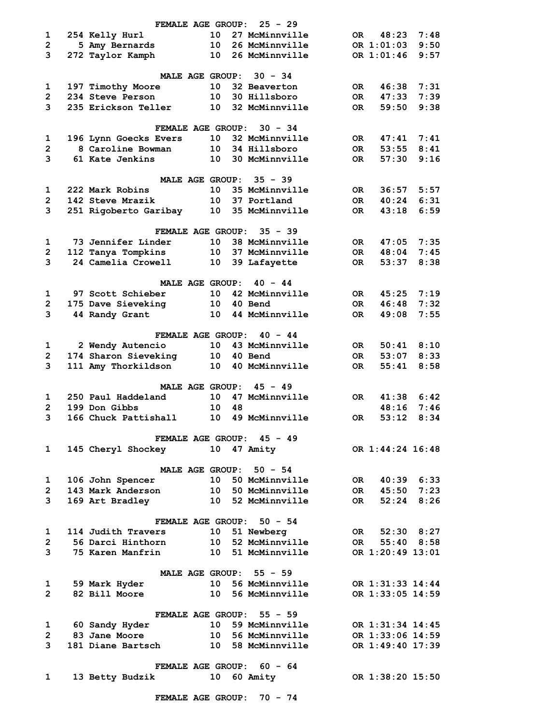|                         | FEMALE AGE GROUP:                       |                 |    | $25 - 29$                                |           |                  |            |
|-------------------------|-----------------------------------------|-----------------|----|------------------------------------------|-----------|------------------|------------|
| 1                       | 254 Kelly Hurl                          | 10              |    | 27 McMinnville                           | OR .      | 48:23            | 7:48       |
| $\overline{2}$          | 5 Amy Bernards                          |                 |    | 10 26 McMinnville                        |           | OR 1:01:03       | 9:50       |
| 3                       | 272 Taylor Kamph                        | 10              |    | 26 McMinnville                           |           | OR 1:01:46       | 9:57       |
|                         |                                         |                 |    |                                          |           |                  |            |
|                         | MALE AGE GROUP:                         |                 |    | $30 - 34$                                |           |                  |            |
| 1                       | 197 Timothy Moore                       | 10              |    | 32 Beaverton                             | OR        | 46:38            | 7:31       |
| $\mathbf{2}$            | 234 Steve Person                        | 10              |    | 30 Hillsboro                             | OR        | 47:33            | 7:39       |
| 3                       | 235 Erickson Teller                     | 10              |    | 32 McMinnville                           | OR.       | 59:50            | 9:38       |
|                         | FEMALE AGE GROUP:                       |                 |    | $30 - 34$                                |           |                  |            |
| 1                       | 196 Lynn Goecks Evers                   | 10              |    | 32 McMinnville                           | OR        | 47:41            | 7:41       |
| $\overline{2}$          | 8 Caroline Bowman                       | 10              |    | 34 Hillsboro                             | OR.       | 53:55            | 8:41       |
| 3                       | 61 Kate Jenkins                         | 10              |    | 30 McMinnville                           | OR.       | 57:30            | 9:16       |
|                         | MALE AGE GROUP:                         |                 |    | $35 - 39$                                |           |                  |            |
| 1                       | 222 Mark Robins                         | 10              |    | 35 McMinnville                           | OR        | 36:57            | 5:57       |
| $\overline{2}$          | 142 Steve Mrazik                        | 10              |    | 37 Portland                              | OR.       | 40:24            | 6:31       |
| 3                       | 251 Rigoberto Garibay                   |                 |    | 10 35 McMinnville                        | OR.       | 43:18            | 6:59       |
|                         |                                         |                 |    |                                          |           |                  |            |
| 1                       | FEMALE AGE GROUP:<br>73 Jennifer Linder | 10              |    | $35 - 39$<br>38 McMinnville              | OR.       | 47:05            | 7:35       |
| $\overline{\mathbf{c}}$ | 112 Tanya Tompkins                      |                 |    | 10 37 McMinnville                        | <b>OR</b> | 48:04            | 7:45       |
| 3                       | 24 Camelia Crowell                      | 10              |    | 39 Lafayette                             | OR.       | 53:37            | 8:38       |
|                         |                                         |                 |    |                                          |           |                  |            |
|                         | MALE AGE GROUP:                         |                 |    | $40 - 44$                                |           |                  |            |
| 1                       | 97 Scott Schieber                       |                 |    | 10 42 McMinnville                        | OR .      | 45:25            | 7:19       |
| $\mathbf{2}$            | 175 Dave Sieveking                      | 10              |    | 40 Bend                                  | OR.       | 46:48            | 7:32       |
| 3                       | 44 Randy Grant                          | 10 <sub>1</sub> |    | 44 McMinnville                           | OR.       | 49:08            | 7:55       |
|                         | FEMALE AGE GROUP:                       |                 |    | $40 - 44$                                |           |                  |            |
| 1                       | 2 Wendy Autencio                        | 10 <sub>1</sub> |    | 43 McMinnville                           | OR.       | 50:41            | 8:10       |
| $\overline{2}$          | 174 Sharon Sieveking                    | 10              |    | 40 Bend                                  | OR.       | 53:07            | 8:33       |
| 3                       | 111 Amy Thorkildson                     | 10              |    | 40 McMinnville                           | OR.       | 55:41            | 8:58       |
|                         | MALE AGE GROUP:                         |                 |    | $45 - 49$                                |           |                  |            |
| 1                       | 250 Paul Haddeland                      | 10              |    | 47 McMinnville                           | <b>OR</b> | 41:38            | 6:42       |
| $\overline{\mathbf{c}}$ | 199 Don Gibbs                           | 10              | 48 |                                          |           | 48:16            | 7:46       |
| 3                       | 166 Chuck Pattishall                    | 10              |    | 49 McMinnville                           | 0R        | 53:12            | 8:34       |
|                         |                                         |                 |    |                                          |           |                  |            |
| $\mathbf{1}$            | 145 Cheryl Shockey                      |                 |    | FEMALE AGE GROUP: 45 - 49<br>10 47 Amity |           | OR 1:44:24 16:48 |            |
|                         |                                         |                 |    |                                          |           |                  |            |
|                         |                                         |                 |    | MALE AGE GROUP: 50 - 54                  |           |                  |            |
| 1                       | 106 John Spencer 10 50 McMinnville      |                 |    |                                          |           | OR  40:39  6:33  |            |
| $\mathbf{2}$            | 143 Mark Anderson                       |                 |    | 10 50 McMinnville                        |           | OR 45:50 7:23    |            |
| 3                       | 169 Art Bradley                         |                 |    | 10 52 McMinnville                        | <b>OR</b> | 52:24            | 8:26       |
|                         | <b>FEMALE AGE GROUP:</b>                |                 |    | $50 - 54$                                |           |                  |            |
| 1                       | 114 Judith Travers                      |                 |    | 10 51 Newberg                            |           | OR 52:30 8:27    |            |
| $\overline{2}$          | 56 Darci Hinthorn                       |                 |    | 10 52 McMinnville                        | <b>OR</b> |                  | 55:40 8:58 |
| 3                       | 75 Karen Manfrin                        |                 |    | 10 51 McMinnville                        |           | OR 1:20:49 13:01 |            |
|                         | <b>MALE AGE GROUP:</b>                  |                 |    | $55 - 59$                                |           |                  |            |
| 1                       | 59 Mark Hyder                           |                 |    | 10 56 McMinnville                        |           | OR 1:31:33 14:44 |            |
| $\overline{2}$          | 82 Bill Moore                           |                 |    | 10 56 McMinnville                        |           | OR 1:33:05 14:59 |            |
|                         |                                         |                 |    |                                          |           |                  |            |
|                         |                                         |                 |    | FEMALE AGE GROUP: 55 - 59                |           |                  |            |
| 1                       | 60 Sandy Hyder                          |                 |    | 10 59 McMinnville                        |           | OR 1:31:34 14:45 |            |
| $\mathbf{2}$            | 83 Jane Moore                           |                 |    | <b>10 56 McMinnville</b>                 |           | OR 1:33:06 14:59 |            |
| 3                       | 181 Diane Bartsch                       |                 |    | 10 58 McMinnville                        |           | OR 1:49:40 17:39 |            |
|                         |                                         |                 |    | FEMALE AGE GROUP: 60 - 64                |           |                  |            |
| 1                       | 13 Betty Budzik                         |                 |    | 10 60 Amity                              |           | OR 1:38:20 15:50 |            |
|                         | <b>FEMALE AGE GROUP:</b>                |                 |    | $70 - 74$                                |           |                  |            |
|                         |                                         |                 |    |                                          |           |                  |            |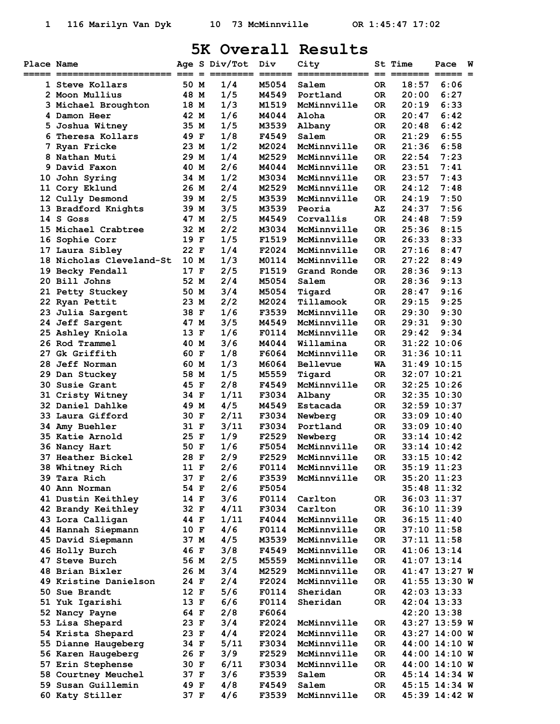## **5K Overall Results**

| Place Name |                          |      | Age S Div/Tot | Div          | City            |           | St Time | Pace            | W |
|------------|--------------------------|------|---------------|--------------|-----------------|-----------|---------|-----------------|---|
|            | 1 Steve Kollars          | 50 M | 1/4           | M5054        | Salem           | 0R        | 18:57   | 6:06            |   |
|            | 2 Moon Mullius           | 48 M | 1/5           | M4549        | Portland        | 0R        | 20:00   | 6:27            |   |
|            | 3 Michael Broughton      | 18 M | 1/3           | M1519        | McMinnville     | OR.       | 20:19   | 6:33            |   |
|            | 4 Damon Heer             | 42 M | 1/6           | M4044        | Aloha           | OR.       | 20:47   | 6:42            |   |
| 5          | Joshua Witney            | 35 M | 1/5           | M3539        | Albany          | 0R        | 20:48   | 6:42            |   |
| 6.         | Theresa Kollars          | 49 F | 1/8           | F4549        | Salem           | 0R        | 21:29   | 6:55            |   |
|            | 7 Ryan Fricke            | 23 M | 1/2           | M2024        | McMinnville     | OR.       | 21:36   | 6:58            |   |
|            | 8 Nathan Muti            | 29 M | 1/4           | M2529        | McMinnville     | 0R        | 22:54   | 7:23            |   |
|            | 9 David Faxon            | 40 M | 2/6           | M4044        | McMinnville     | OR.       | 23:51   | 7:41            |   |
| 10         | John Syring              | 34 M | 1/2           | M3034        | McMinnville     | OR.       | 23:57   | 7:43            |   |
| 11         | Cory Eklund              | 26 M | 2/4           | M2529        | McMinnville     | OR.       | 24:12   | 7:48            |   |
|            | 12 Cully Desmond         | 39 M | 2/5           | M3539        | McMinnville     | 0R        | 24:19   | 7:50            |   |
|            | 13 Bradford Knights      | 39 M | 3/5           | M3539        | Peoria          | AZ        | 24:37   | 7:56            |   |
|            | 14 S Goss                | 47 M | 2/5           | M4549        | Corvallis       | OR.       | 24:48   | 7:59            |   |
|            | 15 Michael Crabtree      | 32 M | 2/2           | M3034        | McMinnville     | <b>OR</b> | 25:36   | 8:15            |   |
|            | 16 Sophie Corr           | 19 F | 1/5           | F1519        | McMinnville     | OR.       | 26:33   | 8:33            |   |
|            | 17 Laura Sibley          | 22 F | 1/4           | F2024        | McMinnville     | OR.       | 27:16   | 8:47            |   |
|            | 18 Nicholas Cleveland-St | 10 M | 1/3           | M0114        | McMinnville     | OR.       | 27:22   | 8:49            |   |
|            | 19 Becky Fendall         | 17 F | 2/5           | F1519        | Grand Ronde     | 0R        | 28:36   | 9:13            |   |
|            | 20 Bill Johns            | 52 M | 2/4           | M5054        | Salem           | OR.       | 28:36   | 9:13            |   |
|            | 21 Petty Stuckey         | 50 M | 3/4           | M5054        | Tigard          | 0R        | 28:47   | 9:16            |   |
|            | 22 Ryan Pettit           | 23 M | 2/2           | M2024        | Tillamook       | 0R        | 29:15   | 9:25            |   |
|            | 23 Julia Sargent         | 38 F | 1/6           | F3539        | McMinnville     | 0R        | 29:30   | 9:30            |   |
|            | 24 Jeff Sargent          | 47 M | 3/5           | M4549        | McMinnville     | <b>OR</b> | 29:31   | 9:30            |   |
|            | 25 Ashley Kniola         | 13 F | 1/6           | F0114        | McMinnville     | 0R        | 29:42   | 9:34            |   |
|            | 26 Rod Trammel           | 40 M | 3/6           | M4044        | Willamina       | OR.       |         | 31:22 10:06     |   |
| 27         | Gk Griffith              | 60 F | 1/8           | F6064        | McMinnville     | OR.       |         | $31:36$ $10:11$ |   |
| 28         | Jeff Norman              | 60 M | 1/3           | <b>M6064</b> | <b>Bellevue</b> | WA        |         | $31:49$ $10:15$ |   |
|            | 29 Dan Stuckey           | 58 M | 1/5           | M5559        | Tigard          | OR.       |         | $32:07$ $10:21$ |   |
|            | <b>30 Susie Grant</b>    | 45 F | 2/8           | F4549        | McMinnville     | OR.       |         | 32:25 10:26     |   |
|            | 31 Cristy Witney         | 34 F | 1/11          | F3034        | Albany          | 0R        |         | $32:35$ $10:30$ |   |
|            | <b>32 Daniel Dahlke</b>  | 49 M | 4/5           | M4549        | Estacada        | OR.       |         | 32:59 10:37     |   |
|            | 33 Laura Gifford         | 30 F | 2/11          | F3034        | Newberg         | OR.       |         | $33:09$ 10:40   |   |
|            | 34 Amy Buehler           | 31 F | 3/11          | F3034        | Portland        | OR.       |         | $33:09$ 10:40   |   |
|            | 35 Katie Arnold          | 25 F | 1/9           | F2529        | Newberg         | OR        |         | $33:14$ $10:42$ |   |
|            | 36 Nancy Hart            | 50 F | 1/6           | F5054        | McMinnville     | OR.       |         | $33:14$ $10:42$ |   |
|            | <b>37 Heather Bickel</b> | 28 F | 2/9           | F2529        | McMinnville     | <b>OR</b> |         | $33:15$ $10:42$ |   |
|            | 38 Whitney Rich          | 11 F | 2/6           | F0114        | McMinnville     | <b>OR</b> |         | 35:19 11:23     |   |
|            | 39 Tara Rich             | 37 F | 2/6           | F3539        | McMinnville     | OR.       |         | $35:20$ 11:23   |   |
|            | 40 Ann Norman            | 54 F | 2/6           | F5054        |                 |           |         | $35:48$ 11:32   |   |
|            | 41 Dustin Keithley       | 14 F | 3/6           | F0114        | Carlton         | OR.       |         | $36:03$ 11:37   |   |
|            | 42 Brandy Keithley       | 32 F | 4/11          | F3034        | Carlton         | OR        |         | $36:10$ $11:39$ |   |
|            | 43 Lora Calligan         | 44 F | 1/11          | F4044        | McMinnville     | OR        |         | $36:15$ $11:40$ |   |
|            | 44 Hannah Siepmann       | 10 F | 4/6           | F0114        | McMinnville     | OR        |         | $37:10$ 11:58   |   |
|            | 45 David Siepmann        | 37 M | 4/5           | M3539        | McMinnville     | OR        |         | $37:11$ $11:58$ |   |
|            | 46 Holly Burch           | 46 F | 3/8           | F4549        | McMinnville     | 0R        |         | $41:06$ $13:14$ |   |
|            | 47 Steve Burch           | 56 M | 2/5           | M5559        | McMinnville     | OR        |         | 41:07 13:14     |   |
|            | 48 Brian Bixler          | 26 M | 3/4           | M2529        | McMinnville     | OR.       |         | 41:47 13:27 W   |   |
|            | 49 Kristine Danielson    | 24 F | 2/4           | F2024        | McMinnville     | OR        |         | 41:55 13:30 W   |   |
|            | 50 Sue Brandt            | 12 F | 5/6           | F0114        | Sheridan        | OR.       |         | 42:03 13:33     |   |
|            | 51 Yuk Igarishi          | 13 F | 6/6           | F0114        | Sheridan        | OR        |         | $42:04$ 13:33   |   |
|            | 52 Nancy Payne           | 64 F | 2/8           | F6064        |                 |           |         | 42:20 13:38     |   |
|            | 53 Lisa Shepard          | 23 F | 3/4           | F2024        | McMinnville     | OR.       |         | 43:27 13:59 W   |   |
|            | 54 Krista Shepard        | 23 F | 4/4           | F2024        | McMinnville     | OR        |         | 43:27 14:00 W   |   |
|            | 55 Dianne Haugeberg      | 34 F | 5/11          | F3034        | McMinnville     | OR        |         | 44:00 14:10 W   |   |
|            | 56 Karen Haugeberg       | 26 F | 3/9           | F2529        | McMinnville     | OR        |         | 44:00 14:10 W   |   |
|            | 57 Erin Stephense        | 30 F | 6/11          | F3034        | McMinnville     | OR.       |         | 44:00 14:10 W   |   |
|            | 58 Courtney Meuchel      | 37 F | 3/6           | F3539        | Salem           | OR        |         | 45:14 14:34 W   |   |
|            | 59 Susan Guillemin       | 49 F | 4/8           | F4549        | Salem           | OR        |         | 45:15 14:34 W   |   |
|            | 60 Katy Stiller          | 37 F | 4/6           | F3539        | McMinnville     | OR        |         | 45:39 14:42 W   |   |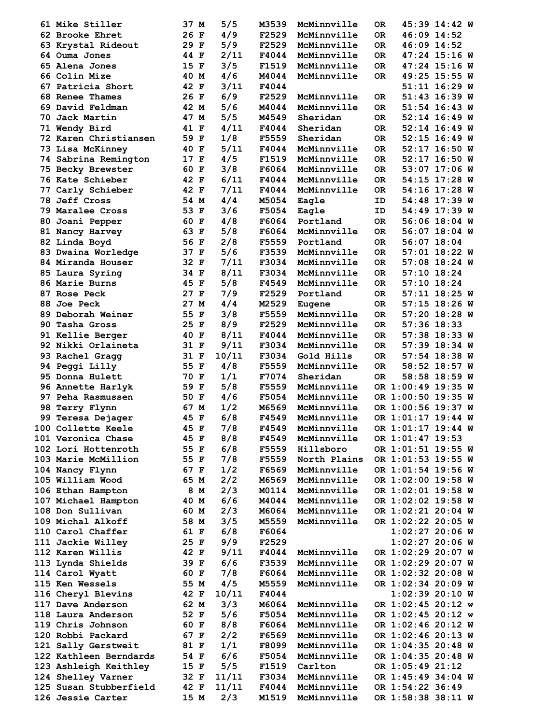| 61 Mike Stiller                             | 37 M         | 5/5          | M3539          | McMinnville                | 0R        |                                        | 45:39 14:42 W      |  |
|---------------------------------------------|--------------|--------------|----------------|----------------------------|-----------|----------------------------------------|--------------------|--|
| 62 Brooke Ehret                             | 26 F         | 4/9          | F2529          | McMinnville                | OR.       |                                        | 46:09 14:52        |  |
| 63 Krystal Rideout                          | 29 F         | 5/9          | F2529          | McMinnville                | OR.       |                                        | 46:09 14:52        |  |
| 64 Ouma Jones                               | 44 F         | 2/11         | F4044          | McMinnville                | OR.       |                                        | 47:24 15:16 W      |  |
| 65 Alena Jones                              | 15 F         | 3/5          | F1519          | McMinnville                | OR.       |                                        | 47:24 15:16 W      |  |
| 66 Colin Mize                               | 40 M         | 4/6          | M4044          | McMinnville                | OR.       |                                        | 49:25 15:55 W      |  |
| 67 Patricia Short                           | 42 F         | 3/11         | F4044          |                            |           |                                        | $51:11$ $16:29$ W  |  |
| 68 Renee Thames                             | 26 F         | 6/9          | F2529          | McMinnville                | OR.       |                                        | 51:43 16:39 W      |  |
| 69 David Feldman                            | 42 M         | 5/6          | M4044          | McMinnville                | OR.       |                                        | 51:54 16:43 W      |  |
| 70 Jack Martin                              | 47 M         | 5/5          | M4549          | Sheridan                   | OR.       |                                        | $52:14$ 16:49 W    |  |
| 71 Wendy Bird                               | 41 F         | 4/11         | F4044          | Sheridan                   | OR.       |                                        | $52:14$ 16:49 W    |  |
| 72 Karen Christiansen                       | 59 F         | 1/8          | <b>F5559</b>   | Sheridan                   | <b>OR</b> |                                        | $52:15$ 16:49 W    |  |
| 73 Lisa McKinney                            | 40 F         | 5/11         | F4044          | McMinnville                | OR.       |                                        | $52:17$ 16:50 W    |  |
| 74 Sabrina Remington                        | 17 F         | 4/5          | F1519          | McMinnville                | <b>OR</b> |                                        | $52:17$ 16:50 W    |  |
| 75 Becky Brewster                           | 60 F         | 3/8          | <b>F6064</b>   | McMinnville                | OR.       |                                        | 53:07 17:06 W      |  |
| 76 Kate Schieber                            | 42 F         | 6/11         | F4044          | McMinnville                | <b>OR</b> |                                        | 54:15 17:28 W      |  |
| 77 Carly Schieber                           | 42 F         | 7/11         |                | F4044 McMinnville          | <b>OR</b> |                                        | 54:16 17:28 W      |  |
| 78 Jeff Cross                               | 54 M         | 4/4          | M5054 Eagle    |                            | ID        |                                        | 54:48 17:39 W      |  |
|                                             | 53 F         | 3/6          | <b>F5054</b>   |                            |           |                                        | 54:49 17:39 W      |  |
| 79 Maralee Cross                            |              | 4/8          |                | Eagle<br>Portland          | ID        |                                        |                    |  |
| 80 Joani Pepper                             | 60 F         |              | <b>F6064</b>   |                            | OR.       |                                        | 56:06 18:04 W      |  |
| 81 Nancy Harvey                             | 63 F         | 5/8          | <b>F6064</b>   | McMinnville                | <b>OR</b> |                                        | 56:07 18:04 W      |  |
| 82 Linda Boyd                               | 56 F         | 2/8          | F5559          | Portland                   | OR.       |                                        | $56:07$ 18:04      |  |
| 83 Dwaina Worledge                          | 37 F         | 5/6          | F3539          | McMinnville                | <b>OR</b> |                                        | $57:01$ 18:22 W    |  |
| 84 Miranda Houser                           | 32 F         | 7/11         | F3034          | McMinnville                | <b>OR</b> |                                        | 57:08 18:24 W      |  |
| 85 Laura Syring                             | 34 F         | 8/11         | F3034          | McMinnville                | <b>OR</b> |                                        | $57:10$ $18:24$    |  |
| 86 Marie Burns                              | 45 F         | 5/8          | F4549          | McMinnville                | OR.       |                                        | $57:10$ $18:24$    |  |
| 87 Rose Peck                                | 27 F         | 7/9          | F2529          | Portland                   | OR.       |                                        | $57:11$ 18:25 W    |  |
| 88 Joe Peck                                 | 27 M         | 4/4          | M2529          | Eugene                     | OR.       |                                        | $57:15$ 18:26 W    |  |
| 89 Deborah Weiner                           | 55 F         | 3/8          | <b>F5559</b>   | McMinnville                | OR.       |                                        | 57:20 18:28 W      |  |
| 90 Tasha Gross                              | 25 F         | 8/9          | F2529          | McMinnville                | OR.       |                                        | $57:36$ 18:33      |  |
| 91 Kellie Berger                            | 40 F         | 8/11         | F4044          | McMinnville                | OR.       |                                        | 57:38 18:33 W      |  |
| 92 Nikki Orlaineta                          | 31 F         | 9/11         | F3034          | McMinnville                | <b>OR</b> |                                        | 57:39 18:34 W      |  |
| 93 Rachel Gragg                             | 31 F         | 10/11        | F3034          | Gold Hills                 | OR.       |                                        | 57:54 18:38 W      |  |
| 94 Peggi Lilly                              | 55 F         | 4/8          | <b>F5559</b>   | McMinnville                | <b>OR</b> |                                        | 58:52 18:57 W      |  |
| 95 Donna Hulett                             | 70 F         | 1/1          | F7074          | Sheridan                   | OR.       |                                        | 58:58 18:59 W      |  |
| 96 Annette Harlyk                           | 59 F         | 5/8          | <b>F5559</b>   | McMinnville                |           | OR 1:00:49 19:35 W                     |                    |  |
| 97 Peha Rasmussen                           | 50 F         | 4/6          |                | F5054 McMinnville          |           | OR 1:00:50 19:35 W                     |                    |  |
| 98 Terry Flynn                              | 67 M         | 1/2          | M6569          | McMinnville                |           | OR 1:00:56 19:37 W                     |                    |  |
| 99 Teresa Dejager                           | 45 F         | 6/8          | F4549          | McMinnville                |           | OR 1:01:17 19:44 W                     |                    |  |
| 100 Collette Keele                          | 45 F         | 7/8          | F4549          | McMinnville                |           | OR 1:01:17 19:44 W                     |                    |  |
| 101 Veronica Chase                          | 45 F         | 8/8          | F4549          | McMinnville                |           | OR 1:01:47 19:53                       |                    |  |
| 102 Lori Hottenroth                         | 55 F         | 6/8          | <b>F5559</b>   | Hillsboro                  |           | OR 1:01:51 19:55 W                     |                    |  |
| 103 Marie McMillion                         | 55 F         | 7/8          | <b>F5559</b>   | North Plains               |           | OR 1:01:53 19:55 W                     |                    |  |
| 104 Nancy Flynn                             | 67 F         | 1/2          | F6569          | McMinnville                |           | OR 1:01:54 19:56 W                     |                    |  |
| 105 William Wood                            | 65 M         | 2/2          | M6569          | McMinnville                |           | OR 1:02:00 19:58 W                     |                    |  |
| 106 Ethan Hampton                           | 8 M          | 2/3          | M0114          | McMinnville                |           | OR 1:02:01 19:58 W                     |                    |  |
| 107 Michael Hampton                         | 40 M         | 6/6          | M4044          | McMinnville                |           | OR 1:02:02 19:58 W                     |                    |  |
| 108 Don Sullivan                            | 60 M         | 2/3          | M6064          | McMinnville                |           | OR 1:02:21 20:04 W                     |                    |  |
| 109 Michal Alkoff                           | 58 M         | 3/5          | M5559          | McMinnville                |           | OR 1:02:22 20:05 W                     |                    |  |
| 110 Carol Chaffer                           | 61 F         | 6/8          | F6064          |                            |           | $1:02:27$ 20:06 W                      |                    |  |
| 111 Jackie Willey                           | 25 F         | 9/9          | F2529          |                            |           | $1:02:27$ 20:06 W                      |                    |  |
| 112 Karen Willis                            | 42 F         | 9/11         | F4044          | McMinnville                |           | OR 1:02:29 20:07 W                     |                    |  |
| 113 Lynda Shields                           | 39 F         | 6/6          | F3539          | McMinnville                |           | OR 1:02:29 20:07 W                     |                    |  |
| 114 Carol Wyatt                             | 60 F         | 7/8          | <b>F6064</b>   | McMinnville                |           | OR 1:02:32 20:08 W                     |                    |  |
| 115 Ken Wessels                             | 55 M         | 4/5          | M5559          | McMinnville                |           | OR 1:02:34 20:09 W                     |                    |  |
| 116 Cheryl Blevins                          | 42 F         | 10/11        | F4044          |                            |           | $1:02:39$ 20:10 W                      |                    |  |
|                                             |              |              |                |                            |           |                                        |                    |  |
| 117 Dave Anderson                           | 62 M         | 3/3          | <b>M6064</b>   | McMinnville                |           | OR 1:02:45 20:12 w                     |                    |  |
| 118 Laura Anderson                          | 52 F         | 5/6          | <b>F5054</b>   | McMinnville                |           | OR 1:02:45 20:12 w                     |                    |  |
| 119 Chris Johnson                           | 60 F         | 8/8          | F6064          | McMinnville                |           | OR 1:02:46 20:12 W                     |                    |  |
| 120 Robbi Packard                           | 67 F         | 2/2          | F6569          | McMinnville                |           | OR 1:02:46 20:13 W                     |                    |  |
| 121 Sally Gerstweit                         | 81 F         | 1/1          | F8099          | McMinnville                |           | OR 1:04:35 20:48 W                     |                    |  |
| 122 Kathleen Berndards                      | 54 F         | 6/6          | <b>F5054</b>   | McMinnville                |           | OR 1:04:35 20:48 W                     |                    |  |
| 123 Ashleigh Keithley                       | 15 F         | 5/5          | <b>F1519</b>   | Carlton                    |           | OR 1:05:49 21:12                       |                    |  |
|                                             |              |              |                |                            |           |                                        |                    |  |
| 124 Shelley Varner                          | 32 F         | 11/11        | F3034          | McMinnville                |           |                                        | OR 1:45:49 34:04 W |  |
| 125 Susan Stubberfield<br>126 Jessie Carter | 42 F<br>15 M | 11/11<br>2/3 | F4044<br>M1519 | McMinnville<br>McMinnville |           | OR 1:54:22 36:49<br>OR 1:58:38 38:11 W |                    |  |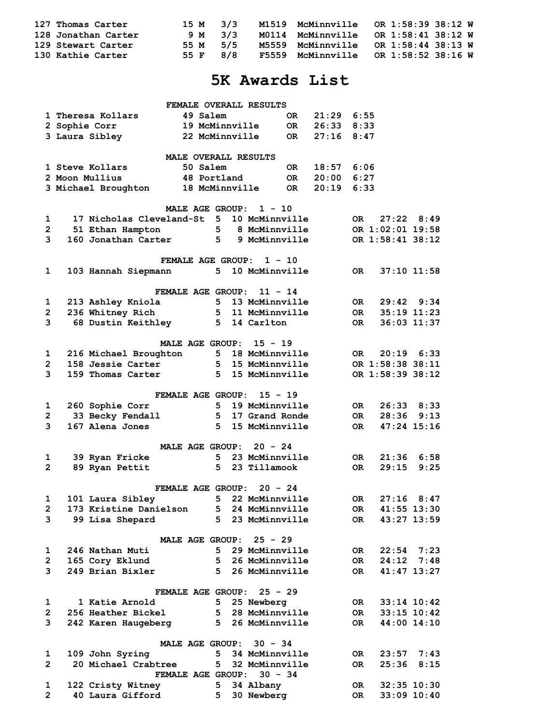| 127 Thomas Carter   | $15 M$ $3/3$ |     |                   | M1519 McMinnville OR 1:58:39 38:12 W |
|---------------------|--------------|-----|-------------------|--------------------------------------|
| 128 Jonathan Carter | 9 M 3/3      |     | M0114 McMinnville | OR 1:58:41 38:12 W                   |
| 129 Stewart Carter  | 55 M         | 5/5 | M5559 McMinnville | OR 1:58:44 38:13 W                   |
| 130 Kathie Carter   | 55 F 8/8     |     | F5559 McMinnville | OR 1:58:52 38:16 W                   |

#### **5K Awards List**

|                     |                                       | FEMALE OVERALL RESULTS   |                |                         |                  |                |                  |                                |                |
|---------------------|---------------------------------------|--------------------------|----------------|-------------------------|------------------|----------------|------------------|--------------------------------|----------------|
|                     | 1 Theresa Kollars                     | 49 Salem                 |                |                         | OR DO            | $21:29$ 6:55   |                  |                                |                |
|                     | 2 Sophie Corr                         | <b>19 McMinnville</b>    |                |                         | OR               | $26:33$ $8:33$ |                  |                                |                |
|                     | 3 Laura Sibley                        | 22 McMinnville           |                |                         | OR               | $27:16$ 8:47   |                  |                                |                |
|                     |                                       | MALE OVERALL RESULTS     |                |                         |                  |                |                  |                                |                |
|                     | 1 Steve Kollars                       | 50 Salem                 |                |                         | OR .             | $18:57$ $6:06$ |                  |                                |                |
|                     | 2 Moon Mullius                        | 48 Portland              |                |                         | OR.              | 20:00          | 6:27             |                                |                |
|                     | 3 Michael Broughton                   | <b>18 McMinnville</b>    |                |                         | OR.              | 20:19          | 6:33             |                                |                |
|                     |                                       | <b>MALE AGE GROUP:</b>   |                |                         | $1 - 10$         |                |                  |                                |                |
| 1                   | 17 Nicholas Cleveland-St 5            |                          |                |                         | 10 McMinnville   |                | <b>OR</b>        | 27:22                          | 8:49           |
| 2                   | 51 Ethan Hampton                      |                          |                |                         | 5 8 McMinnville  |                |                  | OR 1:02:01 19:58               |                |
| 3                   | 160 Jonathan Carter                   |                          |                |                         | 5 9 McMinnville  |                |                  | OR 1:58:41 38:12               |                |
|                     |                                       | <b>FEMALE AGE GROUP:</b> |                |                         | $1 - 10$         |                |                  |                                |                |
| 1                   | 103 Hannah Siepmann                   |                          |                |                         | 5 10 McMinnville |                | 0R               | $37:10$ 11:58                  |                |
|                     |                                       | <b>FEMALE AGE GROUP:</b> |                |                         | $11 - 14$        |                |                  |                                |                |
| 1                   | 213 Ashley Kniola                     |                          |                |                         | 5 13 McMinnville |                | OR DR            | 29:42                          | 9:34           |
| $\overline{2}$      | 236 Whitney Rich                      |                          |                |                         | 5 11 McMinnville |                | OR DR            | $35:19$ $11:23$                |                |
| 3                   | 68 Dustin Keithley                    |                          |                | 5 14 Carlton            |                  |                | OR               | $36:03$ 11:37                  |                |
|                     |                                       | MALE AGE GROUP:          |                |                         | $15 - 19$        |                |                  |                                |                |
| 1                   | 216 Michael Broughton                 |                          |                |                         | 5 18 McMinnville |                | OR DR            | $20:19$ 6:33                   |                |
| $\overline{2}$      | 158 Jessie Carter                     |                          |                |                         | 5 15 McMinnville |                |                  | OR 1:58:38 38:11               |                |
| 3                   | 159 Thomas Carter                     |                          |                |                         | 5 15 McMinnville |                |                  | OR 1:58:39 38:12               |                |
|                     |                                       | FEMALE AGE GROUP:        |                |                         | $15 - 19$        |                |                  |                                |                |
| 1                   | 260 Sophie Corr                       |                          |                |                         | 5 19 McMinnville |                | OR               | $26:33$ $8:33$                 |                |
| $\overline{2}$      | 33 Becky Fendall                      |                          |                |                         | 5 17 Grand Ronde |                | OR               |                                | $28:36$ $9:13$ |
| 3                   | 167 Alena Jones                       |                          |                |                         | 5 15 McMinnville |                | OR               | $47:24$ $15:16$                |                |
|                     |                                       | MALE AGE GROUP:          |                |                         | 20 - 24          |                |                  |                                |                |
| 1                   | 39 Ryan Fricke                        |                          |                |                         | 5 23 McMinnville |                | OR               |                                | $21:36$ $6:58$ |
| $\overline{2}$      | 89 Ryan Pettit                        |                          | $5 -$          |                         | 23 Tillamook     |                | OR .             | 29:15                          | 9:25           |
|                     |                                       | FEMALE AGE GROUP:        |                |                         | $20 - 24$        |                |                  |                                |                |
| 1                   | 101 Laura Sibley                      |                          | 5 <sub>1</sub> |                         | 22 McMinnville   |                | OR.              |                                | $27:16$ 8:47   |
| 2                   | 173 Kristine Danielson                |                          | 5.             |                         | 24 McMinnville   |                | 0R               |                                | 41:55 13:30    |
| 3                   | 99 Lisa Shepard                       |                          | 5.             |                         | 23 McMinnville   |                | 0R               |                                | 43:27 13:59    |
|                     |                                       | MALE AGE GROUP: 25 - 29  |                |                         |                  |                |                  |                                |                |
| 1                   | 246 Nathan Muti                       |                          | 5              |                         | 29 McMinnville   |                | OR               |                                | $22:54$ 7:23   |
| $\overline{2}$      | 165 Cory Eklund                       |                          |                |                         | 5 26 McMinnville |                | OR               | 24:12                          | 7:48           |
| 3                   | 249 Brian Bixler                      |                          | 5.             |                         | 26 McMinnville   |                | OR               |                                | 41:47 13:27    |
|                     |                                       | FEMALE AGE GROUP:        |                |                         | $25 - 29$        |                |                  |                                |                |
| 1                   | 1 Katie Arnold                        |                          | 5              | 25 Newberg              |                  |                | OR               | $33:14$ 10:42                  |                |
| $\overline{2}$      | 256 Heather Bickel                    |                          | 5              |                         | 28 McMinnville   |                | OR               | $33:15$ $10:42$                |                |
| 3                   | 242 Karen Haugeberg                   |                          | 5              |                         | 26 McMinnville   |                | OR               | 44:00 14:10                    |                |
|                     |                                       | MALE AGE GROUP:          |                |                         | $30 - 34$        |                |                  |                                |                |
| 1                   | 109 John Syring                       |                          | $5 -$          |                         | 34 McMinnville   |                | OR               | 23:57                          | 7:43           |
| $\overline{2}$      | 20 Michael Crabtree                   |                          | 5.             |                         | 32 McMinnville   |                | OR .             | 25:36                          | 8:15           |
|                     |                                       | <b>FEMALE AGE GROUP:</b> |                |                         | $30 - 34$        |                |                  |                                |                |
| 1<br>$\overline{2}$ | 122 Cristy Witney<br>40 Laura Gifford |                          | 5.<br>5.       | 34 Albany<br>30 Newberg |                  |                | OR.<br><b>OR</b> | $32:35$ $10:30$<br>33:09 10:40 |                |
|                     |                                       |                          |                |                         |                  |                |                  |                                |                |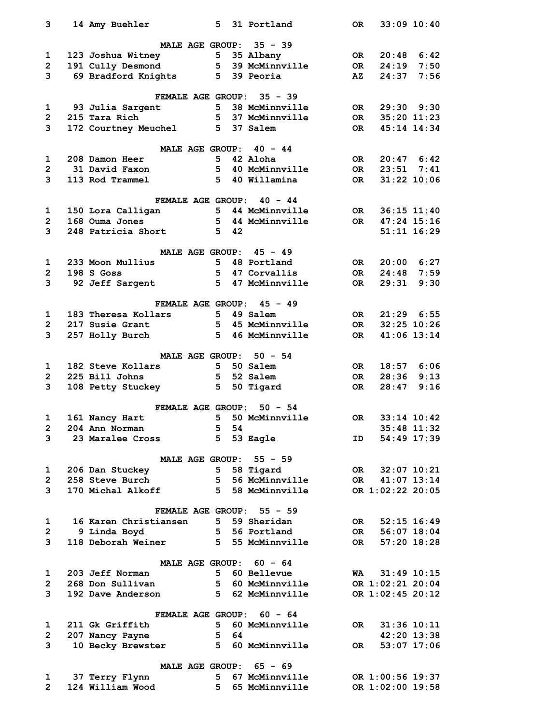| 3              | 14 Amy Buehler                      | 5     |    | 31 Portland                              | OR.       |                  | $33:09$ 10:40   |
|----------------|-------------------------------------|-------|----|------------------------------------------|-----------|------------------|-----------------|
|                | <b>MALE AGE GROUP:</b>              |       |    | $35 - 39$                                |           |                  |                 |
| 1              | 123 Joshua Witney                   | 5     |    | 35 Albany                                | OR.       | 20:48            | 6:42            |
| $\overline{2}$ | 191 Cully Desmond                   |       |    | 5 39 McMinnville                         | <b>OR</b> | 24:19            | 7:50            |
| 3              | 69 Bradford Knights                 |       |    | 5 39 Peoria                              | AZ        | 24:37            | 7:56            |
|                |                                     |       |    |                                          |           |                  |                 |
|                | <b>FEMALE AGE GROUP:</b>            |       |    | $35 - 39$                                |           |                  |                 |
| 1              | 93 Julia Sargent                    | 5     |    | 38 McMinnville                           | OR .      | $29:30$ $9:30$   |                 |
| $\overline{2}$ | 215 Tara Rich                       |       |    | 5 37 McMinnville                         | OR        | $35:20$ 11:23    |                 |
| 3              | 172 Courtney Meuchel                |       |    | 5 37 Salem                               | OR        | 45:14 14:34      |                 |
|                | MALE AGE GROUP:                     |       |    | $40 - 44$                                |           |                  |                 |
| 1              | 208 Damon Heer                      | 5     |    | 42 Aloha                                 | OR        |                  | $20:47$ 6:42    |
| $\overline{2}$ | 31 David Faxon                      | $5 -$ |    | 40 McMinnville                           | OR        | 23:51            | 7:41            |
| 3              | 113 Rod Trammel                     | 5     |    | 40 Willamina                             | OR        |                  | $31:22$ $10:06$ |
|                | <b>FEMALE AGE GROUP:</b>            |       |    | $40 - 44$                                |           |                  |                 |
| 1              | 150 Lora Calligan                   |       |    | 5 44 McMinnville                         | OR        |                  | $36:15$ $11:40$ |
| $\overline{2}$ | 168 Ouma Jones                      |       |    | 5 44 McMinnville                         | <b>OR</b> |                  | $47:24$ 15:16   |
|                |                                     |       |    |                                          |           |                  |                 |
| 3              | 248 Patricia Short                  | $5 -$ | 42 |                                          |           |                  | $51:11$ $16:29$ |
|                | MALE AGE GROUP:                     |       |    | $45 - 49$                                |           |                  |                 |
| 1              | 233 Moon Mullius                    |       |    | 5 48 Portland                            | OR.       | 20:00            | 6:27            |
| $\mathbf{2}$   | $198S$ Goss                         |       |    | 5 47 Corvallis                           | 0R        | 24:48            | 7:59            |
| 3              | 92 Jeff Sargent                     |       |    | 5 47 McMinnville                         | OR.       | 29:31            | 9:30            |
|                | <b>FEMALE AGE GROUP:</b>            |       |    | $45 - 49$                                |           |                  |                 |
| 1              | 183 Theresa Kollars                 |       |    | 5 49 Salem                               | OR .      | $21:29$ 6:55     |                 |
| $\overline{2}$ | 217 Susie Grant                     |       |    | 5 45 McMinnville                         | OR        |                  | $32:25$ $10:26$ |
| 3              | 257 Holly Burch                     | $5 -$ |    | 46 McMinnville                           | OR        | $41:06$ 13:14    |                 |
|                |                                     |       |    |                                          |           |                  |                 |
|                | MALE AGE GROUP:                     |       |    | $50 - 54$                                |           |                  |                 |
| 1              | 182 Steve Kollars                   | $5 -$ |    | 50 Salem                                 | OR        | 18:57            | 6:06            |
| $\overline{2}$ | 225 Bill Johns                      |       |    | 5 52 Salem                               | OR        | 28:36            | 9:13            |
| 3              | 108 Petty Stuckey                   | 5     |    | 50 Tigard                                | OR        | 28:47            | 9:16            |
|                | <b>FEMALE AGE GROUP:</b>            |       |    | $50 - 54$                                |           |                  |                 |
| 1              | 161 Nancy Hart                      | 5     |    | 50 McMinnville                           | OR.       | $33:14$ $10:42$  |                 |
| $\overline{2}$ | 204 Ann Norman                      | 5     | 54 |                                          |           |                  | 35:48 11:32     |
| 3              | 23 Maralee Cross                    |       |    | 5 53 Eagle                               | ID        |                  | 54:49 17:39     |
|                |                                     |       |    | MALE AGE GROUP: 55 - 59                  |           |                  |                 |
| 1              | 206 Dan Stuckey                     |       |    | 5 58 Tigard                              |           | OR 32:07 10:21   |                 |
| $\overline{2}$ | 258 Steve Burch                     |       |    | 5 56 McMinnville                         |           | OR 41:07 13:14   |                 |
| 3              | 170 Michal Alkoff                   |       |    | 5 58 McMinnville                         |           | OR 1:02:22 20:05 |                 |
|                |                                     |       |    |                                          |           |                  |                 |
|                |                                     |       |    | FEMALE AGE GROUP: 55 - 59                |           |                  |                 |
| 1              | 16 Karen Christiansen 5 59 Sheridan |       |    |                                          |           | OR 52:15 16:49   |                 |
| $\overline{2}$ | 9 Linda Boyd 5 56 Portland          |       |    |                                          |           | OR 56:07 18:04   |                 |
| 3              | 118 Deborah Weiner 5 55 McMinnville |       |    |                                          | <b>OR</b> | $57:20$ 18:28    |                 |
|                |                                     |       |    | MALE AGE GROUP: 60 - 64                  |           |                  |                 |
| 1              | 203 Jeff Norman                     |       |    | <b>5</b> 60 Bellevue<br>5 60 McMinnville | WA        |                  | $31:49$ $10:15$ |
| $\overline{2}$ | 268 Don Sullivan                    |       |    |                                          |           | OR 1:02:21 20:04 |                 |
| 3              | 192 Dave Anderson                   |       |    | 5 62 McMinnville                         |           | OR 1:02:45 20:12 |                 |
|                | <b>FEMALE AGE GROUP:</b>            |       |    | $60 - 64$                                |           |                  |                 |
| 1              | 211 Gk Griffith                     | $5 -$ |    | 60 McMinnville                           | OR DR     |                  | $31:36$ $10:11$ |
| 2              | $5\quad 64$<br>207 Nancy Payne      |       |    |                                          |           | 42:20 13:38      |                 |
| 3              | 10 Becky Brewster 5 60 McMinnville  |       |    |                                          |           |                  | 53:07 17:06     |
|                |                                     |       |    |                                          | OR DR     |                  |                 |
|                |                                     |       |    | MALE AGE GROUP: 65 - 69                  |           |                  |                 |
| 1              | 37 Terry Flynn                      |       |    | 5 67 McMinnville                         |           | OR 1:00:56 19:37 |                 |
| $\overline{2}$ | 124 William Wood                    | 5     |    | <b>65 McMinnville</b>                    |           | OR 1:02:00 19:58 |                 |
|                |                                     |       |    |                                          |           |                  |                 |